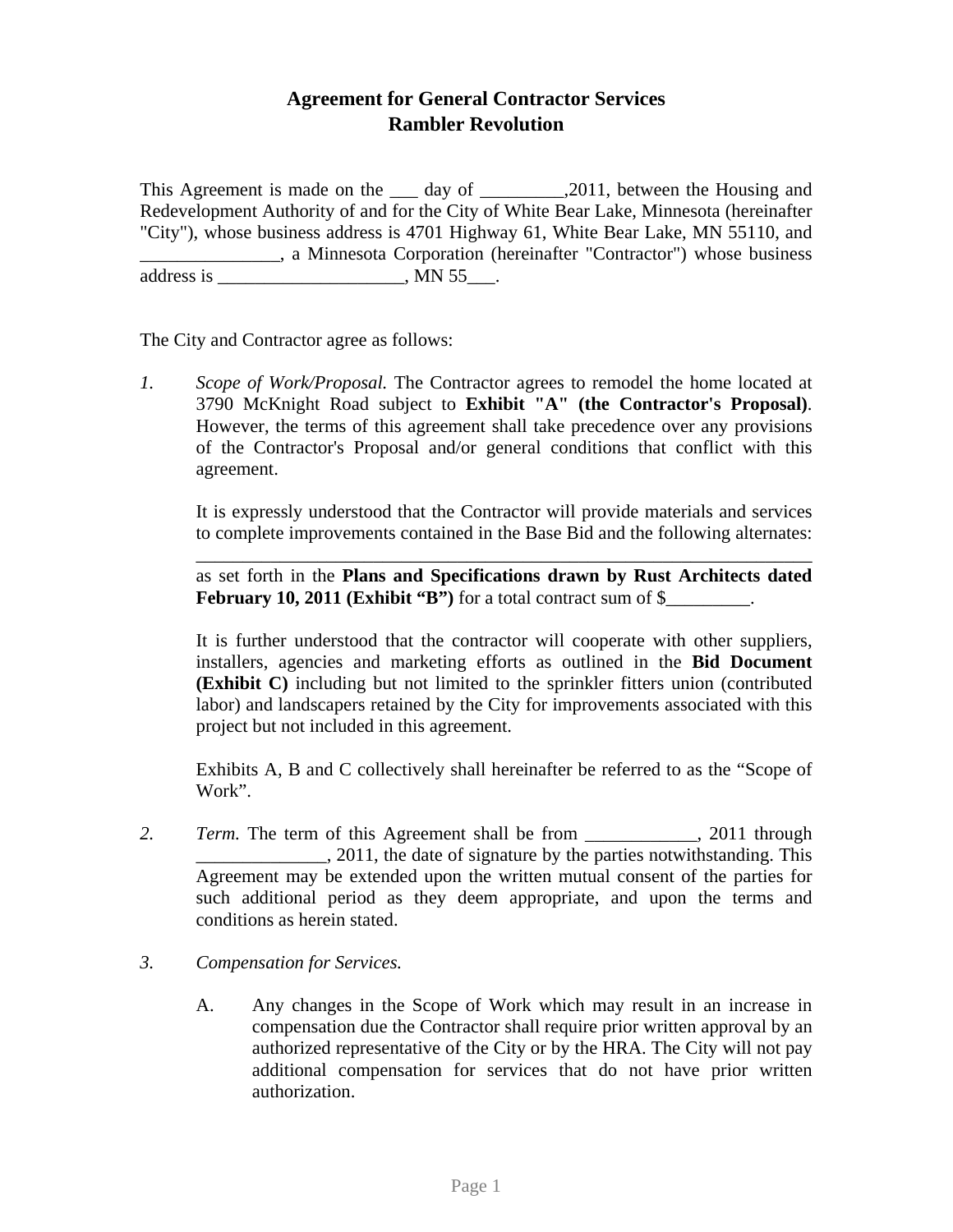## **Agreement for General Contractor Services Rambler Revolution**

This Agreement is made on the *day of .2011*, between the Housing and Redevelopment Authority of and for the City of White Bear Lake, Minnesota (hereinafter "City"), whose business address is 4701 Highway 61, White Bear Lake, MN 55110, and \_\_\_\_\_\_\_\_\_\_\_\_\_\_\_, a Minnesota Corporation (hereinafter "Contractor") whose business address is \_\_\_\_\_\_\_\_\_\_\_\_\_\_\_\_\_\_, MN  $55$ \_\_\_.

The City and Contractor agree as follows:

*1. Scope of Work/Proposal.* The Contractor agrees to remodel the home located at 3790 McKnight Road subject to **Exhibit "A" (the Contractor's Proposal)**. However, the terms of this agreement shall take precedence over any provisions of the Contractor's Proposal and/or general conditions that conflict with this agreement.

 It is expressly understood that the Contractor will provide materials and services to complete improvements contained in the Base Bid and the following alternates:

\_\_\_\_\_\_\_\_\_\_\_\_\_\_\_\_\_\_\_\_\_\_\_\_\_\_\_\_\_\_\_\_\_\_\_\_\_\_\_\_\_\_\_\_\_\_\_\_\_\_\_\_\_\_\_\_\_\_\_\_\_\_\_\_\_\_

as set forth in the **Plans and Specifications drawn by Rust Architects dated February 10, 2011 (Exhibit "B")** for a total contract sum of \$\_\_\_\_\_\_\_\_\_.

It is further understood that the contractor will cooperate with other suppliers, installers, agencies and marketing efforts as outlined in the **Bid Document (Exhibit C)** including but not limited to the sprinkler fitters union (contributed labor) and landscapers retained by the City for improvements associated with this project but not included in this agreement.

Exhibits A, B and C collectively shall hereinafter be referred to as the "Scope of Work".

- 2. *Term.* The term of this Agreement shall be from 2011 through 2011, the date of signature by the parties notwithstanding. This Agreement may be extended upon the written mutual consent of the parties for such additional period as they deem appropriate, and upon the terms and conditions as herein stated.
- *3. Compensation for Services.* 
	- A. Any changes in the Scope of Work which may result in an increase in compensation due the Contractor shall require prior written approval by an authorized representative of the City or by the HRA. The City will not pay additional compensation for services that do not have prior written authorization.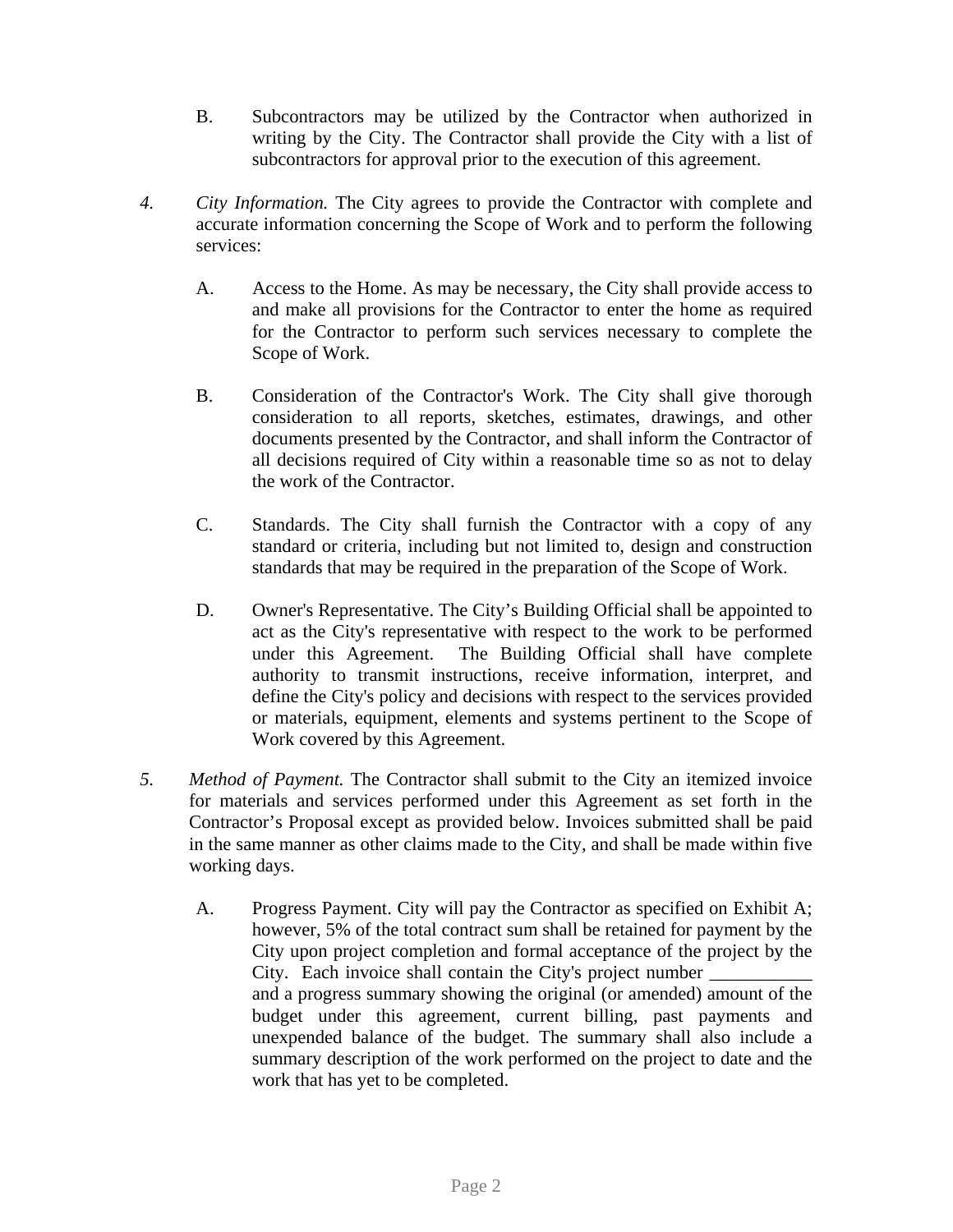- B. Subcontractors may be utilized by the Contractor when authorized in writing by the City. The Contractor shall provide the City with a list of subcontractors for approval prior to the execution of this agreement.
- *4. City Information.* The City agrees to provide the Contractor with complete and accurate information concerning the Scope of Work and to perform the following services:
	- A. Access to the Home. As may be necessary, the City shall provide access to and make all provisions for the Contractor to enter the home as required for the Contractor to perform such services necessary to complete the Scope of Work.
	- B. Consideration of the Contractor's Work. The City shall give thorough consideration to all reports, sketches, estimates, drawings, and other documents presented by the Contractor, and shall inform the Contractor of all decisions required of City within a reasonable time so as not to delay the work of the Contractor.
	- C. Standards. The City shall furnish the Contractor with a copy of any standard or criteria, including but not limited to, design and construction standards that may be required in the preparation of the Scope of Work.
	- D. Owner's Representative. The City's Building Official shall be appointed to act as the City's representative with respect to the work to be performed under this Agreement. The Building Official shall have complete authority to transmit instructions, receive information, interpret, and define the City's policy and decisions with respect to the services provided or materials, equipment, elements and systems pertinent to the Scope of Work covered by this Agreement.
- *5. Method of Payment.* The Contractor shall submit to the City an itemized invoice for materials and services performed under this Agreement as set forth in the Contractor's Proposal except as provided below. Invoices submitted shall be paid in the same manner as other claims made to the City, and shall be made within five working days.
	- A. Progress Payment. City will pay the Contractor as specified on Exhibit A; however, 5% of the total contract sum shall be retained for payment by the City upon project completion and formal acceptance of the project by the City. Each invoice shall contain the City's project number and a progress summary showing the original (or amended) amount of the budget under this agreement, current billing, past payments and unexpended balance of the budget. The summary shall also include a summary description of the work performed on the project to date and the work that has yet to be completed.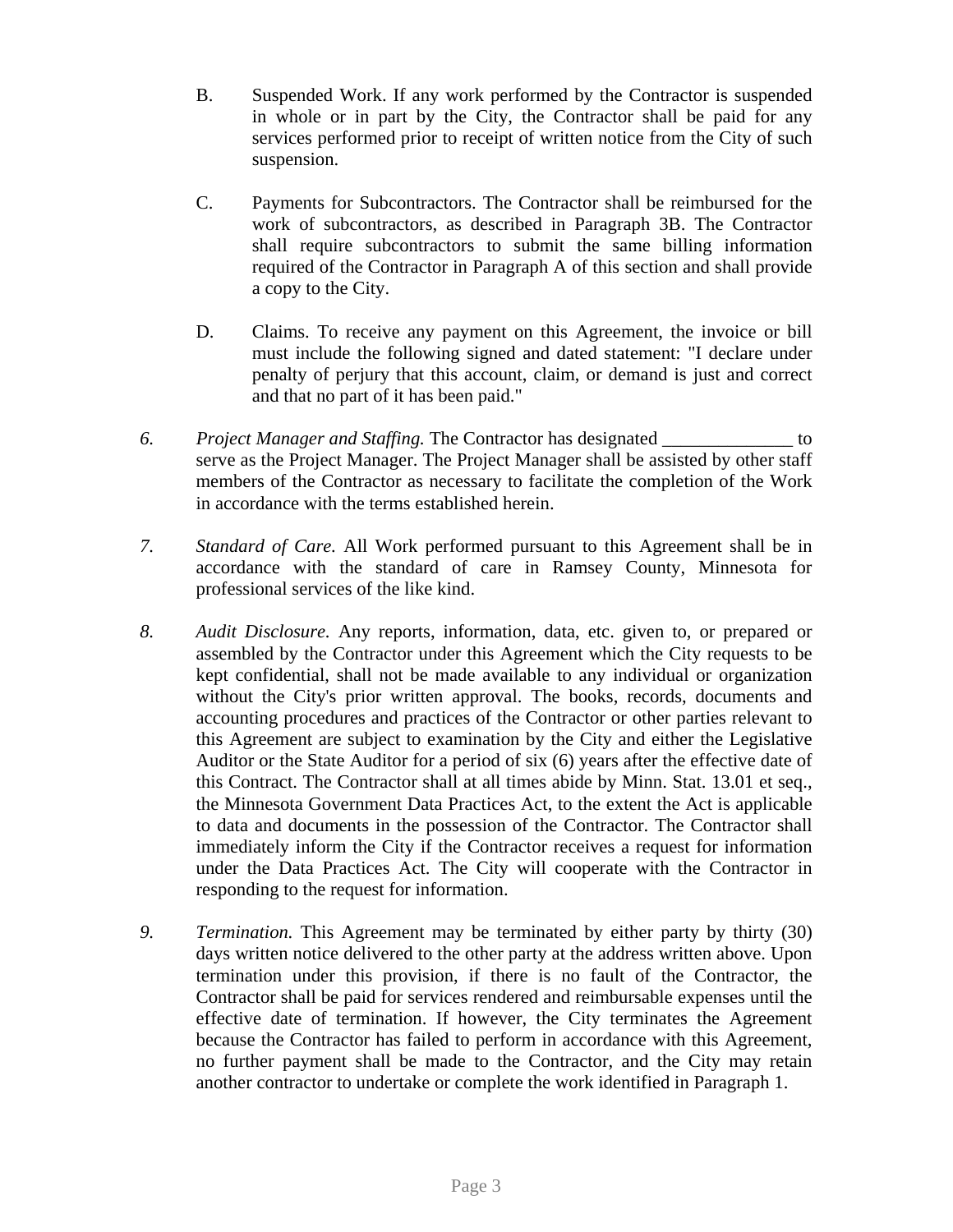- B. Suspended Work. If any work performed by the Contractor is suspended in whole or in part by the City, the Contractor shall be paid for any services performed prior to receipt of written notice from the City of such suspension.
- C. Payments for Subcontractors. The Contractor shall be reimbursed for the work of subcontractors, as described in Paragraph 3B. The Contractor shall require subcontractors to submit the same billing information required of the Contractor in Paragraph A of this section and shall provide a copy to the City.
- D. Claims. To receive any payment on this Agreement, the invoice or bill must include the following signed and dated statement: "I declare under penalty of perjury that this account, claim, or demand is just and correct and that no part of it has been paid."
- *6. Project Manager and Staffing.* The Contractor has designated \_\_\_\_\_\_\_\_\_\_\_\_\_\_ to serve as the Project Manager. The Project Manager shall be assisted by other staff members of the Contractor as necessary to facilitate the completion of the Work in accordance with the terms established herein.
- *7. Standard of Care.* All Work performed pursuant to this Agreement shall be in accordance with the standard of care in Ramsey County, Minnesota for professional services of the like kind.
- *8. Audit Disclosure.* Any reports, information, data, etc. given to, or prepared or assembled by the Contractor under this Agreement which the City requests to be kept confidential, shall not be made available to any individual or organization without the City's prior written approval. The books, records, documents and accounting procedures and practices of the Contractor or other parties relevant to this Agreement are subject to examination by the City and either the Legislative Auditor or the State Auditor for a period of six (6) years after the effective date of this Contract. The Contractor shall at all times abide by Minn. Stat. 13.01 et seq., the Minnesota Government Data Practices Act, to the extent the Act is applicable to data and documents in the possession of the Contractor. The Contractor shall immediately inform the City if the Contractor receives a request for information under the Data Practices Act. The City will cooperate with the Contractor in responding to the request for information.
- *9. Termination.* This Agreement may be terminated by either party by thirty (30) days written notice delivered to the other party at the address written above. Upon termination under this provision, if there is no fault of the Contractor, the Contractor shall be paid for services rendered and reimbursable expenses until the effective date of termination. If however, the City terminates the Agreement because the Contractor has failed to perform in accordance with this Agreement, no further payment shall be made to the Contractor, and the City may retain another contractor to undertake or complete the work identified in Paragraph 1.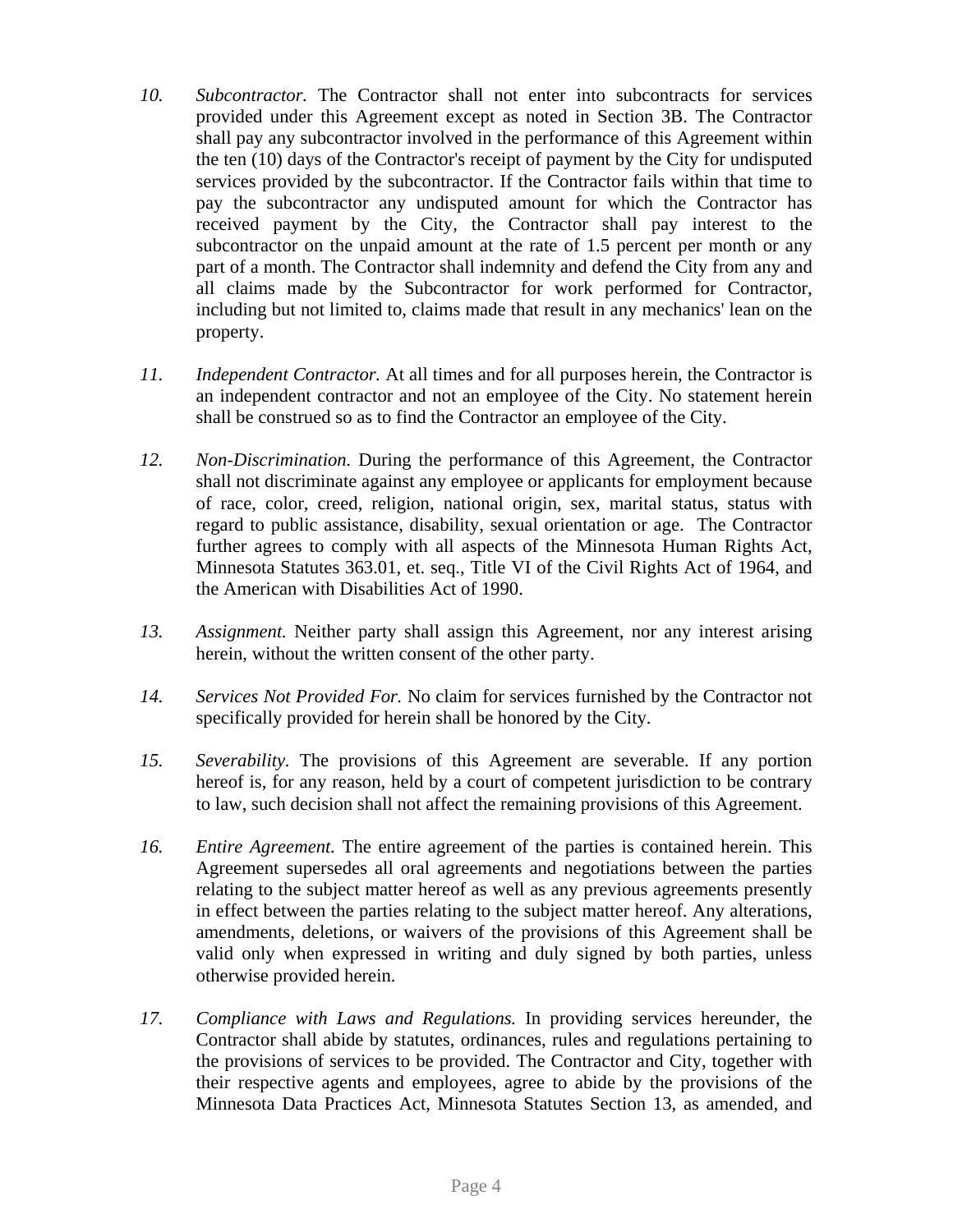- *10. Subcontractor.* The Contractor shall not enter into subcontracts for services provided under this Agreement except as noted in Section 3B. The Contractor shall pay any subcontractor involved in the performance of this Agreement within the ten (10) days of the Contractor's receipt of payment by the City for undisputed services provided by the subcontractor. If the Contractor fails within that time to pay the subcontractor any undisputed amount for which the Contractor has received payment by the City, the Contractor shall pay interest to the subcontractor on the unpaid amount at the rate of 1.5 percent per month or any part of a month. The Contractor shall indemnity and defend the City from any and all claims made by the Subcontractor for work performed for Contractor, including but not limited to, claims made that result in any mechanics' lean on the property.
- *11. Independent Contractor.* At all times and for all purposes herein, the Contractor is an independent contractor and not an employee of the City. No statement herein shall be construed so as to find the Contractor an employee of the City.
- *12. Non-Discrimination.* During the performance of this Agreement, the Contractor shall not discriminate against any employee or applicants for employment because of race, color, creed, religion, national origin, sex, marital status, status with regard to public assistance, disability, sexual orientation or age. The Contractor further agrees to comply with all aspects of the Minnesota Human Rights Act, Minnesota Statutes 363.01, et. seq., Title VI of the Civil Rights Act of 1964, and the American with Disabilities Act of 1990.
- *13. Assignment.* Neither party shall assign this Agreement, nor any interest arising herein, without the written consent of the other party.
- *14. Services Not Provided For.* No claim for services furnished by the Contractor not specifically provided for herein shall be honored by the City.
- *15. Severability.* The provisions of this Agreement are severable. If any portion hereof is, for any reason, held by a court of competent jurisdiction to be contrary to law, such decision shall not affect the remaining provisions of this Agreement.
- *16. Entire Agreement.* The entire agreement of the parties is contained herein. This Agreement supersedes all oral agreements and negotiations between the parties relating to the subject matter hereof as well as any previous agreements presently in effect between the parties relating to the subject matter hereof. Any alterations, amendments, deletions, or waivers of the provisions of this Agreement shall be valid only when expressed in writing and duly signed by both parties, unless otherwise provided herein.
- *17. Compliance with Laws and Regulations.* In providing services hereunder, the Contractor shall abide by statutes, ordinances, rules and regulations pertaining to the provisions of services to be provided. The Contractor and City, together with their respective agents and employees, agree to abide by the provisions of the Minnesota Data Practices Act, Minnesota Statutes Section 13, as amended, and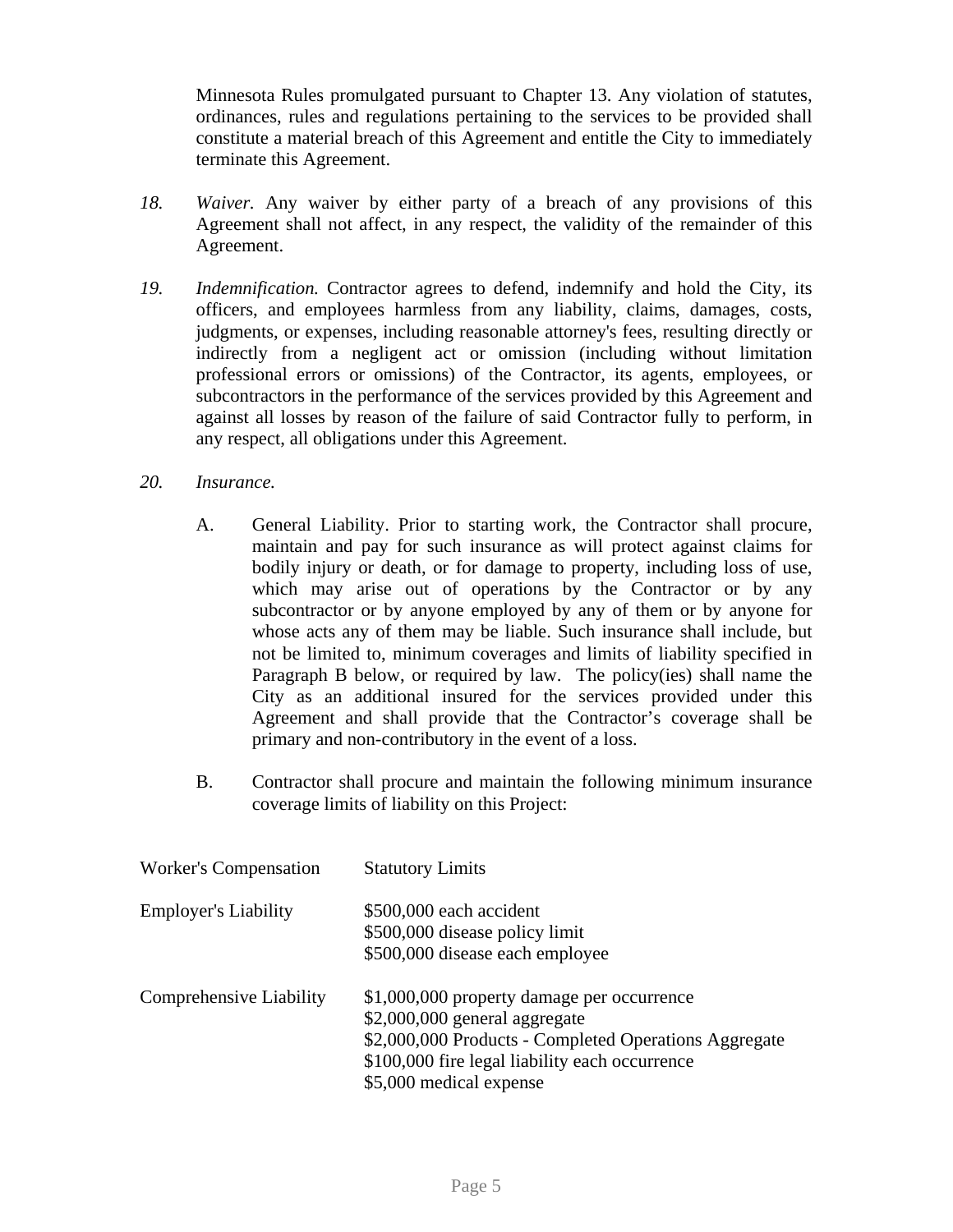Minnesota Rules promulgated pursuant to Chapter 13. Any violation of statutes, ordinances, rules and regulations pertaining to the services to be provided shall constitute a material breach of this Agreement and entitle the City to immediately terminate this Agreement.

- *18. Waiver.* Any waiver by either party of a breach of any provisions of this Agreement shall not affect, in any respect, the validity of the remainder of this Agreement.
- *19. Indemnification.* Contractor agrees to defend, indemnify and hold the City, its officers, and employees harmless from any liability, claims, damages, costs, judgments, or expenses, including reasonable attorney's fees, resulting directly or indirectly from a negligent act or omission (including without limitation professional errors or omissions) of the Contractor, its agents, employees, or subcontractors in the performance of the services provided by this Agreement and against all losses by reason of the failure of said Contractor fully to perform, in any respect, all obligations under this Agreement.
- *20. Insurance.* 
	- A. General Liability. Prior to starting work, the Contractor shall procure, maintain and pay for such insurance as will protect against claims for bodily injury or death, or for damage to property, including loss of use, which may arise out of operations by the Contractor or by any subcontractor or by anyone employed by any of them or by anyone for whose acts any of them may be liable. Such insurance shall include, but not be limited to, minimum coverages and limits of liability specified in Paragraph B below, or required by law. The policy(ies) shall name the City as an additional insured for the services provided under this Agreement and shall provide that the Contractor's coverage shall be primary and non-contributory in the event of a loss.
	- B. Contractor shall procure and maintain the following minimum insurance coverage limits of liability on this Project:

| <b>Worker's Compensation</b> | <b>Statutory Limits</b>                               |
|------------------------------|-------------------------------------------------------|
| <b>Employer's Liability</b>  | \$500,000 each accident                               |
|                              | \$500,000 disease policy limit                        |
|                              | \$500,000 disease each employee                       |
| Comprehensive Liability      | \$1,000,000 property damage per occurrence            |
|                              | \$2,000,000 general aggregate                         |
|                              | \$2,000,000 Products - Completed Operations Aggregate |
|                              | \$100,000 fire legal liability each occurrence        |
|                              | \$5,000 medical expense                               |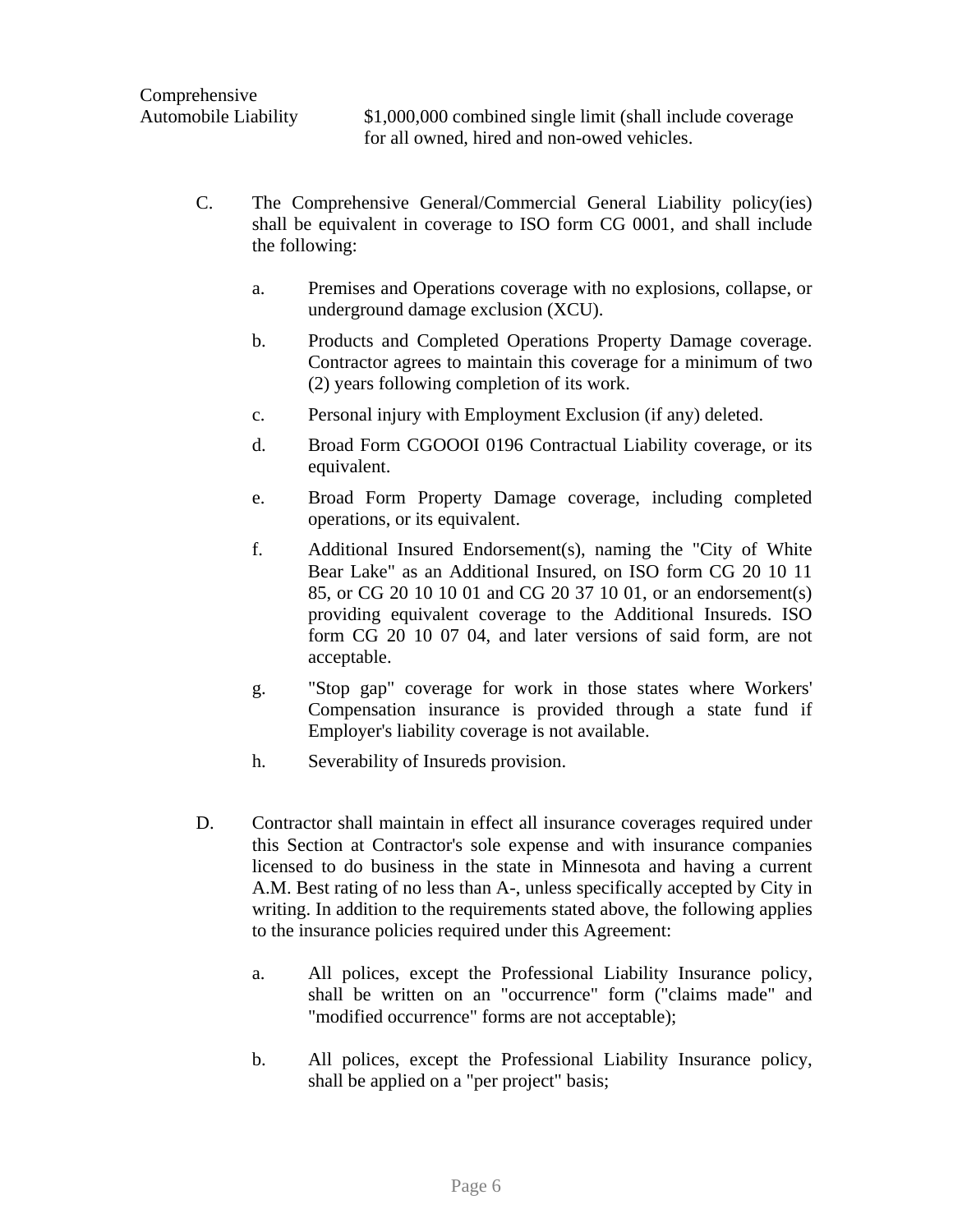Automobile Liability \$1,000,000 combined single limit (shall include coverage for all owned, hired and non-owed vehicles.

- C. The Comprehensive General/Commercial General Liability policy(ies) shall be equivalent in coverage to ISO form CG 0001, and shall include the following:
	- a. Premises and Operations coverage with no explosions, collapse, or underground damage exclusion (XCU).
	- b. Products and Completed Operations Property Damage coverage. Contractor agrees to maintain this coverage for a minimum of two (2) years following completion of its work.
	- c. Personal injury with Employment Exclusion (if any) deleted.
	- d. Broad Form CGOOOI 0196 Contractual Liability coverage, or its equivalent.
	- e. Broad Form Property Damage coverage, including completed operations, or its equivalent.
	- f. Additional Insured Endorsement(s), naming the "City of White Bear Lake" as an Additional Insured, on ISO form CG 20 10 11 85, or CG 20 10 10 01 and CG 20 37 10 01, or an endorsement(s) providing equivalent coverage to the Additional Insureds. ISO form CG 20 10 07 04, and later versions of said form, are not acceptable.
	- g. "Stop gap" coverage for work in those states where Workers' Compensation insurance is provided through a state fund if Employer's liability coverage is not available.
	- h. Severability of Insureds provision.
- D. Contractor shall maintain in effect all insurance coverages required under this Section at Contractor's sole expense and with insurance companies licensed to do business in the state in Minnesota and having a current A.M. Best rating of no less than A-, unless specifically accepted by City in writing. In addition to the requirements stated above, the following applies to the insurance policies required under this Agreement:
	- a. All polices, except the Professional Liability Insurance policy, shall be written on an "occurrence" form ("claims made" and "modified occurrence" forms are not acceptable);
	- b. All polices, except the Professional Liability Insurance policy, shall be applied on a "per project" basis;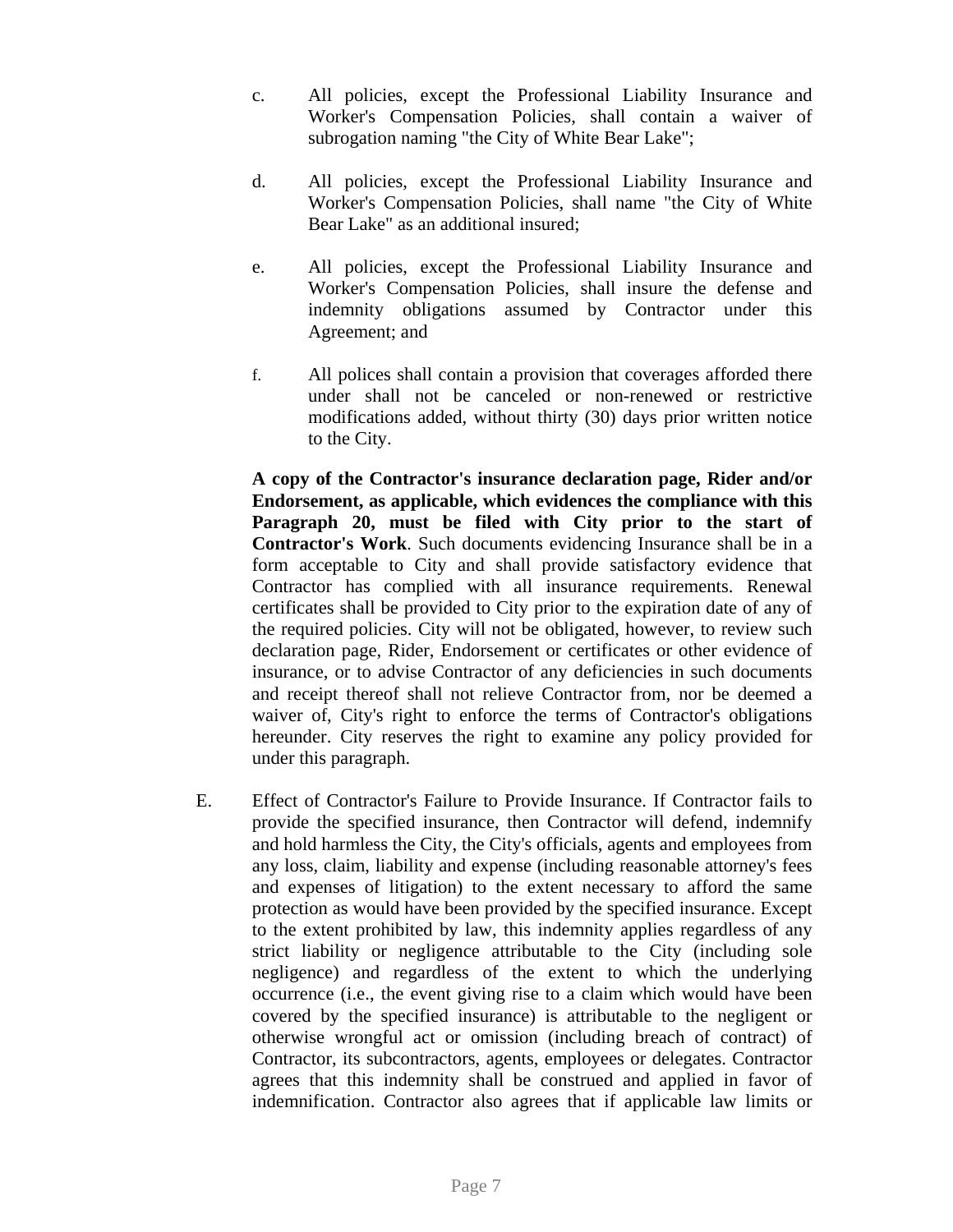- c. All policies, except the Professional Liability Insurance and Worker's Compensation Policies, shall contain a waiver of subrogation naming "the City of White Bear Lake";
- d. All policies, except the Professional Liability Insurance and Worker's Compensation Policies, shall name "the City of White Bear Lake" as an additional insured;
- e. All policies, except the Professional Liability Insurance and Worker's Compensation Policies, shall insure the defense and indemnity obligations assumed by Contractor under this Agreement; and
- f. All polices shall contain a provision that coverages afforded there under shall not be canceled or non-renewed or restrictive modifications added, without thirty (30) days prior written notice to the City.

**A copy of the Contractor's insurance declaration page, Rider and/or Endorsement, as applicable, which evidences the compliance with this Paragraph 20, must be filed with City prior to the start of Contractor's Work**. Such documents evidencing Insurance shall be in a form acceptable to City and shall provide satisfactory evidence that Contractor has complied with all insurance requirements. Renewal certificates shall be provided to City prior to the expiration date of any of the required policies. City will not be obligated, however, to review such declaration page, Rider, Endorsement or certificates or other evidence of insurance, or to advise Contractor of any deficiencies in such documents and receipt thereof shall not relieve Contractor from, nor be deemed a waiver of, City's right to enforce the terms of Contractor's obligations hereunder. City reserves the right to examine any policy provided for under this paragraph.

E. Effect of Contractor's Failure to Provide Insurance. If Contractor fails to provide the specified insurance, then Contractor will defend, indemnify and hold harmless the City, the City's officials, agents and employees from any loss, claim, liability and expense (including reasonable attorney's fees and expenses of litigation) to the extent necessary to afford the same protection as would have been provided by the specified insurance. Except to the extent prohibited by law, this indemnity applies regardless of any strict liability or negligence attributable to the City (including sole negligence) and regardless of the extent to which the underlying occurrence (i.e., the event giving rise to a claim which would have been covered by the specified insurance) is attributable to the negligent or otherwise wrongful act or omission (including breach of contract) of Contractor, its subcontractors, agents, employees or delegates. Contractor agrees that this indemnity shall be construed and applied in favor of indemnification. Contractor also agrees that if applicable law limits or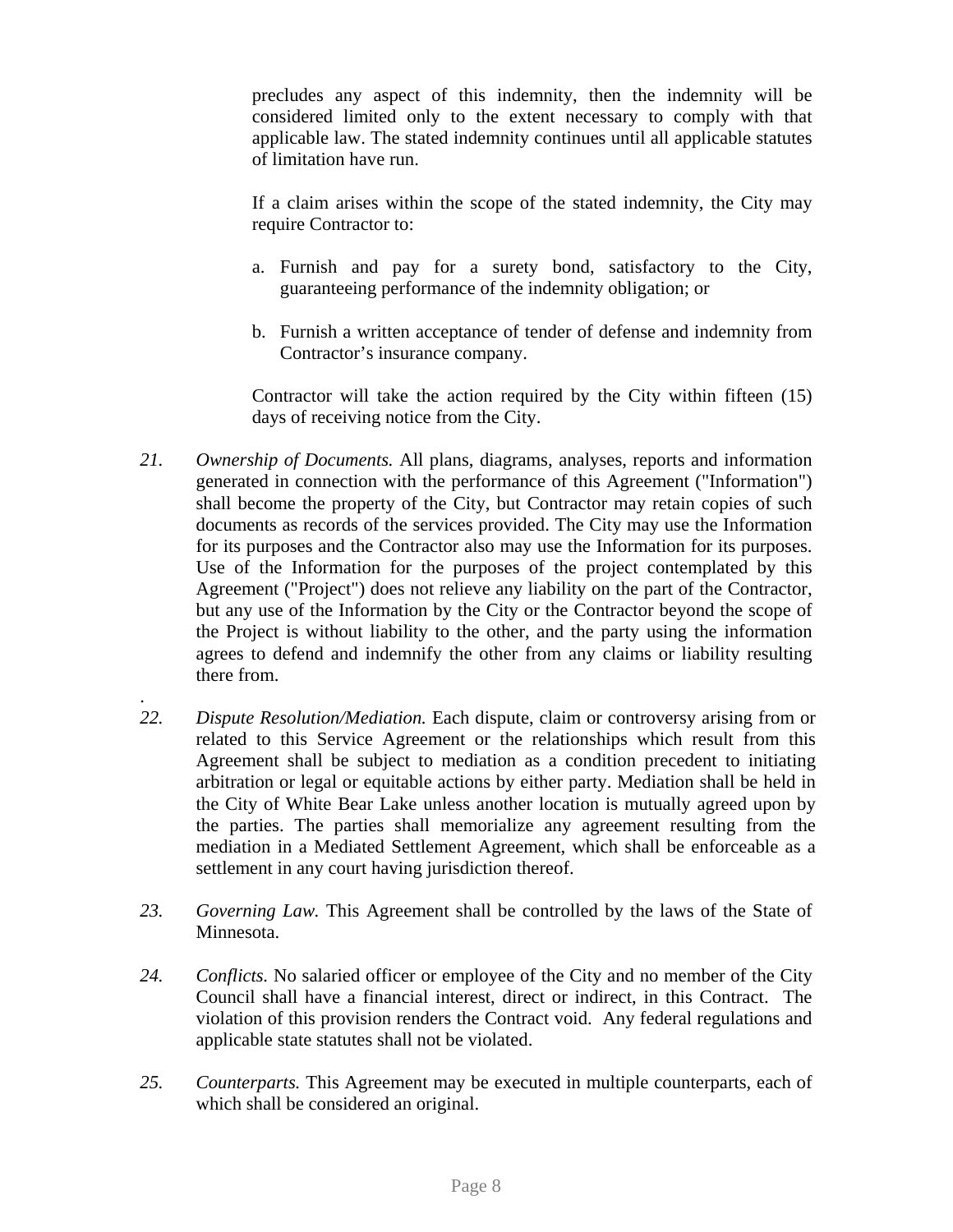precludes any aspect of this indemnity, then the indemnity will be considered limited only to the extent necessary to comply with that applicable law. The stated indemnity continues until all applicable statutes of limitation have run.

If a claim arises within the scope of the stated indemnity, the City may require Contractor to:

- a. Furnish and pay for a surety bond, satisfactory to the City, guaranteeing performance of the indemnity obligation; or
- b. Furnish a written acceptance of tender of defense and indemnity from Contractor's insurance company.

Contractor will take the action required by the City within fifteen (15) days of receiving notice from the City.

- *21. Ownership of Documents.* All plans, diagrams, analyses, reports and information generated in connection with the performance of this Agreement ("Information") shall become the property of the City, but Contractor may retain copies of such documents as records of the services provided. The City may use the Information for its purposes and the Contractor also may use the Information for its purposes. Use of the Information for the purposes of the project contemplated by this Agreement ("Project") does not relieve any liability on the part of the Contractor, but any use of the Information by the City or the Contractor beyond the scope of the Project is without liability to the other, and the party using the information agrees to defend and indemnify the other from any claims or liability resulting there from.
- *22. Dispute Resolution/Mediation.* Each dispute, claim or controversy arising from or related to this Service Agreement or the relationships which result from this Agreement shall be subject to mediation as a condition precedent to initiating arbitration or legal or equitable actions by either party. Mediation shall be held in the City of White Bear Lake unless another location is mutually agreed upon by the parties. The parties shall memorialize any agreement resulting from the mediation in a Mediated Settlement Agreement, which shall be enforceable as a settlement in any court having jurisdiction thereof.

.

- *23. Governing Law.* This Agreement shall be controlled by the laws of the State of Minnesota.
- *24. Conflicts.* No salaried officer or employee of the City and no member of the City Council shall have a financial interest, direct or indirect, in this Contract. The violation of this provision renders the Contract void. Any federal regulations and applicable state statutes shall not be violated.
- *25. Counterparts.* This Agreement may be executed in multiple counterparts, each of which shall be considered an original.